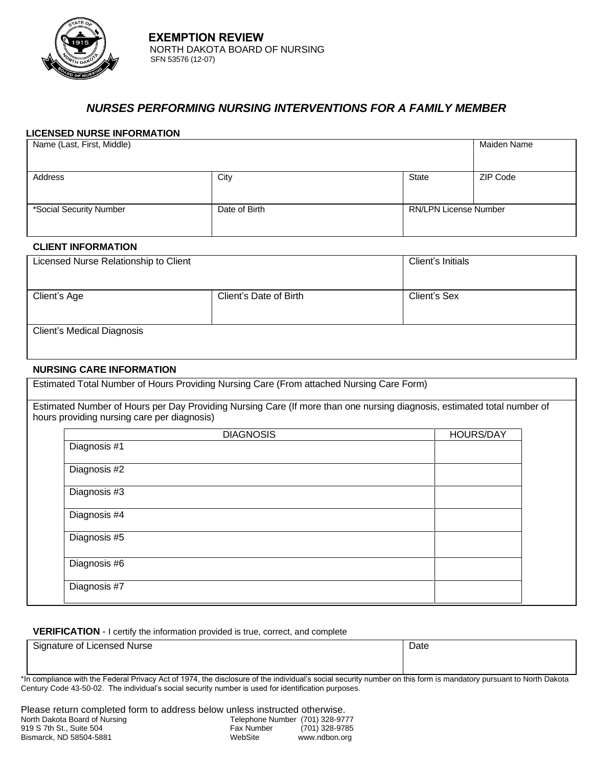

# *NURSES PERFORMING NURSING INTERVENTIONS FOR A FAMILY MEMBER*

### **LICENSED NURSE INFORMATION**

| Name (Last, First, Middle) |               |                              | Maiden Name |
|----------------------------|---------------|------------------------------|-------------|
|                            |               |                              |             |
| Address                    | City          | State                        | ZIP Code    |
|                            |               |                              |             |
| *Social Security Number    | Date of Birth | <b>RN/LPN License Number</b> |             |
|                            |               |                              |             |

### **CLIENT INFORMATION**

|                                       |                        | Client's Initials |
|---------------------------------------|------------------------|-------------------|
| Licensed Nurse Relationship to Client |                        |                   |
|                                       |                        |                   |
|                                       |                        |                   |
| Client's Age                          | Client's Date of Birth | Client's Sex      |
|                                       |                        |                   |
|                                       |                        |                   |
|                                       |                        |                   |
| <b>Client's Medical Diagnosis</b>     |                        |                   |
|                                       |                        |                   |
|                                       |                        |                   |

### **NURSING CARE INFORMATION**

Estimated Total Number of Hours Providing Nursing Care (From attached Nursing Care Form)

Estimated Number of Hours per Day Providing Nursing Care (If more than one nursing diagnosis, estimated total number of hours providing nursing care per diagnosis)

#### **VERIFICATION** - I certify the information provided is true, correct, and complete

| Signature of Licensed Nurse | Date |
|-----------------------------|------|
|                             |      |
|                             |      |

\*In compliance with the Federal Privacy Act of 1974, the disclosure of the individual's social security number on this form is mandatory pursuant to North Dakota Century Code 43-50-02. The individual's social security number is used for identification purposes.

| Please return completed form to address below unless instructed otherwise. |                                 |                |
|----------------------------------------------------------------------------|---------------------------------|----------------|
| North Dakota Board of Nursing                                              | Telephone Number (701) 328-9777 |                |
| 919 S 7th St., Suite 504                                                   | Fax Number                      | (701) 328-9785 |
| Bismarck, ND 58504-5881                                                    | WebSite                         | www.ndbon.org  |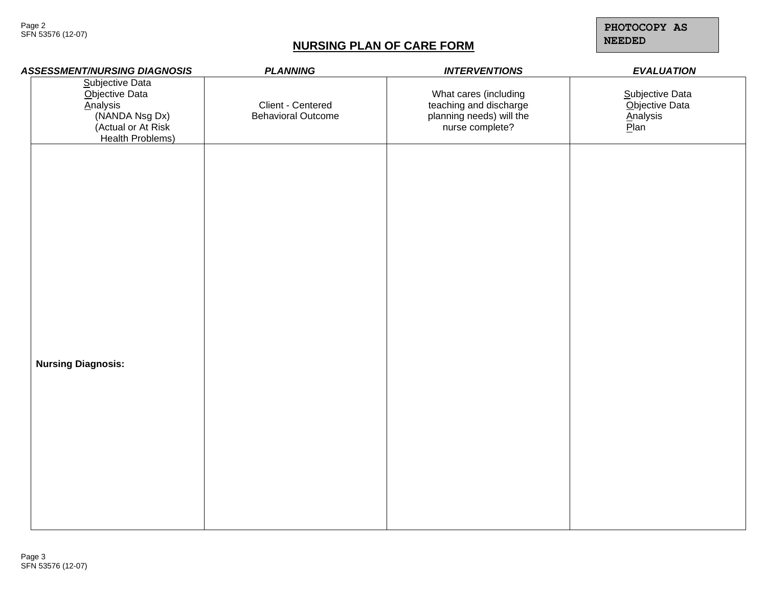Page 2 SFN 53576 (12-07)

# **NURSING PLAN OF CARE FORM**

**PHOTOCOPY AS NEEDED**

| <b>ASSESSMENT/NURSING DIAGNOSIS</b>                                                                              | <b>PLANNING</b>                                | <b>INTERVENTIONS</b>                                                                           | <b>EVALUATION</b>                                     |
|------------------------------------------------------------------------------------------------------------------|------------------------------------------------|------------------------------------------------------------------------------------------------|-------------------------------------------------------|
| Subjective Data<br>Objective Data<br><b>Analysis</b><br>(NANDA Nsg Dx)<br>(Actual or At Risk<br>Health Problems) | Client - Centered<br><b>Behavioral Outcome</b> | What cares (including<br>teaching and discharge<br>planning needs) will the<br>nurse complete? | Subjective Data<br>Objective Data<br>Analysis<br>Plan |
|                                                                                                                  |                                                |                                                                                                |                                                       |
|                                                                                                                  |                                                |                                                                                                |                                                       |
| <b>Nursing Diagnosis:</b>                                                                                        |                                                |                                                                                                |                                                       |
|                                                                                                                  |                                                |                                                                                                |                                                       |
|                                                                                                                  |                                                |                                                                                                |                                                       |